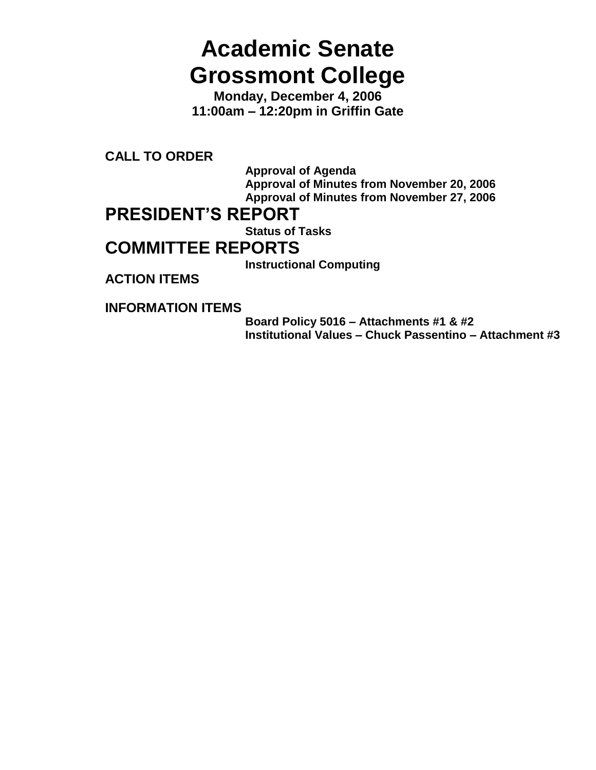# **Academic Senate Grossmont College**

**Monday, December 4, 2006 11:00am – 12:20pm in Griffin Gate**

**CALL TO ORDER**

**Approval of Agenda Approval of Minutes from November 20, 2006 Approval of Minutes from November 27, 2006**

# **PRESIDENT'S REPORT**

**Status of Tasks**

# **COMMITTEE REPORTS**

**Instructional Computing**

**ACTION ITEMS**

**INFORMATION ITEMS**

**Board Policy 5016 – Attachments #1 & #2 Institutional Values – Chuck Passentino – Attachment #3**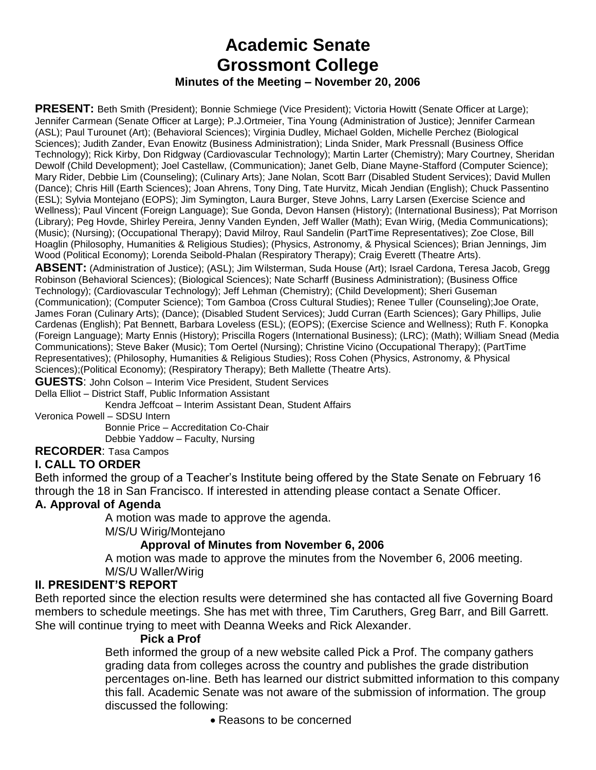# **Academic Senate Grossmont College Minutes of the Meeting – November 20, 2006**

**PRESENT:** Beth Smith (President); Bonnie Schmiege (Vice President); Victoria Howitt (Senate Officer at Large); Jennifer Carmean (Senate Officer at Large); P.J.Ortmeier, Tina Young (Administration of Justice); Jennifer Carmean (ASL); Paul Turounet (Art); (Behavioral Sciences); Virginia Dudley, Michael Golden, Michelle Perchez (Biological Sciences); Judith Zander, Evan Enowitz (Business Administration); Linda Snider, Mark Pressnall (Business Office Technology); Rick Kirby, Don Ridgway (Cardiovascular Technology); Martin Larter (Chemistry); Mary Courtney, Sheridan Dewolf (Child Development); Joel Castellaw, (Communication); Janet Gelb, Diane Mayne-Stafford (Computer Science); Mary Rider, Debbie Lim (Counseling); (Culinary Arts); Jane Nolan, Scott Barr (Disabled Student Services); David Mullen (Dance); Chris Hill (Earth Sciences); Joan Ahrens, Tony Ding, Tate Hurvitz, Micah Jendian (English); Chuck Passentino (ESL); Sylvia Montejano (EOPS); Jim Symington, Laura Burger, Steve Johns, Larry Larsen (Exercise Science and Wellness); Paul Vincent (Foreign Language); Sue Gonda, Devon Hansen (History); (International Business); Pat Morrison (Library); Peg Hovde, Shirley Pereira, Jenny Vanden Eynden, Jeff Waller (Math); Evan Wirig, (Media Communications); (Music); (Nursing); (Occupational Therapy); David Milroy, Raul Sandelin (PartTime Representatives); Zoe Close, Bill Hoaglin (Philosophy, Humanities & Religious Studies); (Physics, Astronomy, & Physical Sciences); Brian Jennings, Jim Wood (Political Economy); Lorenda Seibold-Phalan (Respiratory Therapy); Craig Everett (Theatre Arts).

**ABSENT:** (Administration of Justice); (ASL); Jim Wilsterman, Suda House (Art); Israel Cardona, Teresa Jacob, Gregg Robinson (Behavioral Sciences); (Biological Sciences); Nate Scharff (Business Administration); (Business Office Technology); (Cardiovascular Technology); Jeff Lehman (Chemistry); (Child Development); Sheri Guseman (Communication); (Computer Science); Tom Gamboa (Cross Cultural Studies); Renee Tuller (Counseling);Joe Orate, James Foran (Culinary Arts); (Dance); (Disabled Student Services); Judd Curran (Earth Sciences); Gary Phillips, Julie Cardenas (English); Pat Bennett, Barbara Loveless (ESL); (EOPS); (Exercise Science and Wellness); Ruth F. Konopka (Foreign Language); Marty Ennis (History); Priscilla Rogers (International Business); (LRC); (Math); William Snead (Media Communications); Steve Baker (Music); Tom Oertel (Nursing); Christine Vicino (Occupational Therapy); (PartTime Representatives); (Philosophy, Humanities & Religious Studies); Ross Cohen (Physics, Astronomy, & Physical Sciences);(Political Economy); (Respiratory Therapy); Beth Mallette (Theatre Arts).

**GUESTS**: John Colson – Interim Vice President, Student Services

Della Elliot – District Staff, Public Information Assistant

Kendra Jeffcoat – Interim Assistant Dean, Student Affairs

Veronica Powell – SDSU Intern

Bonnie Price – Accreditation Co-Chair Debbie Yaddow – Faculty, Nursing

**RECORDER**: Tasa Campos

#### **I. CALL TO ORDER**

Beth informed the group of a Teacher's Institute being offered by the State Senate on February 16 through the 18 in San Francisco. If interested in attending please contact a Senate Officer.

#### **A. Approval of Agenda**

A motion was made to approve the agenda.

M/S/U Wirig/Montejano

#### **Approval of Minutes from November 6, 2006**

A motion was made to approve the minutes from the November 6, 2006 meeting. M/S/U Waller/Wirig

#### **II. PRESIDENT'S REPORT**

Beth reported since the election results were determined she has contacted all five Governing Board members to schedule meetings. She has met with three, Tim Caruthers, Greg Barr, and Bill Garrett. She will continue trying to meet with Deanna Weeks and Rick Alexander.

#### **Pick a Prof**

Beth informed the group of a new website called Pick a Prof. The company gathers grading data from colleges across the country and publishes the grade distribution percentages on-line. Beth has learned our district submitted information to this company this fall. Academic Senate was not aware of the submission of information. The group discussed the following:

• Reasons to be concerned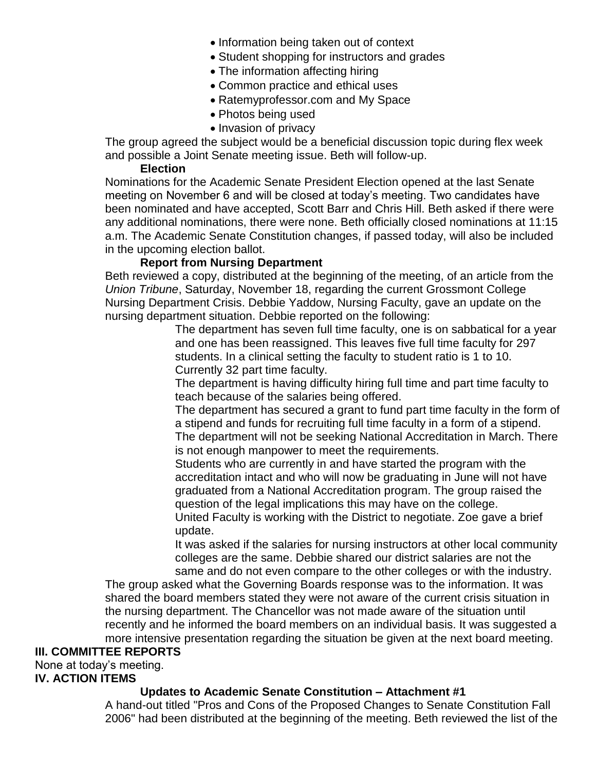- Information being taken out of context
- Student shopping for instructors and grades
- The information affecting hiring
- Common practice and ethical uses
- Ratemyprofessor.com and My Space
- Photos being used
- Invasion of privacy

The group agreed the subject would be a beneficial discussion topic during flex week and possible a Joint Senate meeting issue. Beth will follow-up.

#### **Election**

Nominations for the Academic Senate President Election opened at the last Senate meeting on November 6 and will be closed at today's meeting. Two candidates have been nominated and have accepted, Scott Barr and Chris Hill. Beth asked if there were any additional nominations, there were none. Beth officially closed nominations at 11:15 a.m. The Academic Senate Constitution changes, if passed today, will also be included in the upcoming election ballot.

#### **Report from Nursing Department**

Beth reviewed a copy, distributed at the beginning of the meeting, of an article from the *Union Tribune*, Saturday, November 18, regarding the current Grossmont College Nursing Department Crisis. Debbie Yaddow, Nursing Faculty, gave an update on the nursing department situation. Debbie reported on the following:

The department has seven full time faculty, one is on sabbatical for a year and one has been reassigned. This leaves five full time faculty for 297 students. In a clinical setting the faculty to student ratio is 1 to 10. Currently 32 part time faculty.

The department is having difficulty hiring full time and part time faculty to teach because of the salaries being offered.

The department has secured a grant to fund part time faculty in the form of a stipend and funds for recruiting full time faculty in a form of a stipend. The department will not be seeking National Accreditation in March. There is not enough manpower to meet the requirements.

Students who are currently in and have started the program with the accreditation intact and who will now be graduating in June will not have graduated from a National Accreditation program. The group raised the question of the legal implications this may have on the college. United Faculty is working with the District to negotiate. Zoe gave a brief update.

It was asked if the salaries for nursing instructors at other local community colleges are the same. Debbie shared our district salaries are not the same and do not even compare to the other colleges or with the industry.

The group asked what the Governing Boards response was to the information. It was shared the board members stated they were not aware of the current crisis situation in the nursing department. The Chancellor was not made aware of the situation until recently and he informed the board members on an individual basis. It was suggested a more intensive presentation regarding the situation be given at the next board meeting.

# **III. COMMITTEE REPORTS**

None at today's meeting. **IV. ACTION ITEMS**

# **Updates to Academic Senate Constitution – Attachment #1**

A hand-out titled "Pros and Cons of the Proposed Changes to Senate Constitution Fall 2006" had been distributed at the beginning of the meeting. Beth reviewed the list of the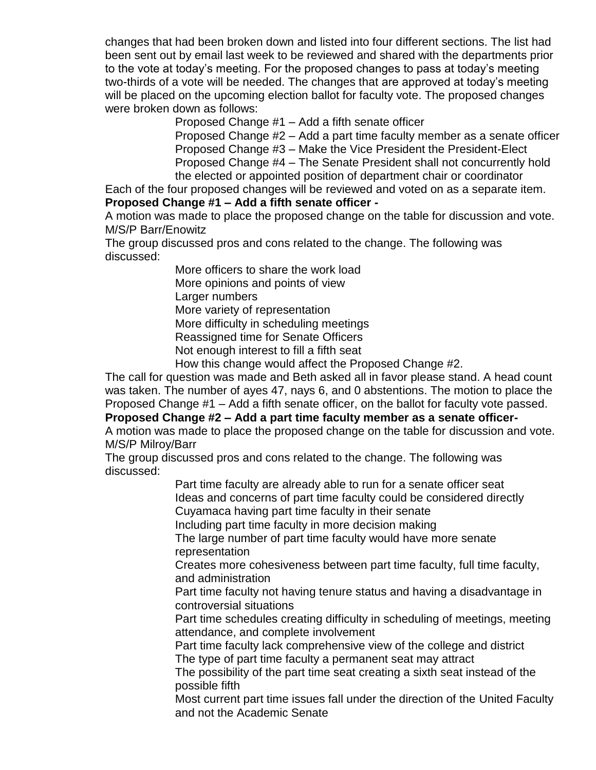changes that had been broken down and listed into four different sections. The list had been sent out by email last week to be reviewed and shared with the departments prior to the vote at today's meeting. For the proposed changes to pass at today's meeting two-thirds of a vote will be needed. The changes that are approved at today's meeting will be placed on the upcoming election ballot for faculty vote. The proposed changes were broken down as follows:

Proposed Change #1 – Add a fifth senate officer

Proposed Change #2 – Add a part time faculty member as a senate officer Proposed Change #3 – Make the Vice President the President-Elect Proposed Change #4 – The Senate President shall not concurrently hold the elected or appointed position of department chair or coordinator

Each of the four proposed changes will be reviewed and voted on as a separate item.

#### **Proposed Change #1 – Add a fifth senate officer -**

A motion was made to place the proposed change on the table for discussion and vote. M/S/P Barr/Enowitz

The group discussed pros and cons related to the change. The following was discussed:

> More officers to share the work load More opinions and points of view Larger numbers More variety of representation More difficulty in scheduling meetings Reassigned time for Senate Officers Not enough interest to fill a fifth seat How this change would affect the Proposed Change #2.

The call for question was made and Beth asked all in favor please stand. A head count was taken. The number of ayes 47, nays 6, and 0 abstentions. The motion to place the Proposed Change #1 – Add a fifth senate officer, on the ballot for faculty vote passed. **Proposed Change #2 – Add a part time faculty member as a senate officer-**

A motion was made to place the proposed change on the table for discussion and vote. M/S/P Milroy/Barr

The group discussed pros and cons related to the change. The following was discussed:

Part time faculty are already able to run for a senate officer seat Ideas and concerns of part time faculty could be considered directly Cuyamaca having part time faculty in their senate

Including part time faculty in more decision making

The large number of part time faculty would have more senate representation

Creates more cohesiveness between part time faculty, full time faculty, and administration

Part time faculty not having tenure status and having a disadvantage in controversial situations

Part time schedules creating difficulty in scheduling of meetings, meeting attendance, and complete involvement

Part time faculty lack comprehensive view of the college and district The type of part time faculty a permanent seat may attract

The possibility of the part time seat creating a sixth seat instead of the possible fifth

Most current part time issues fall under the direction of the United Faculty and not the Academic Senate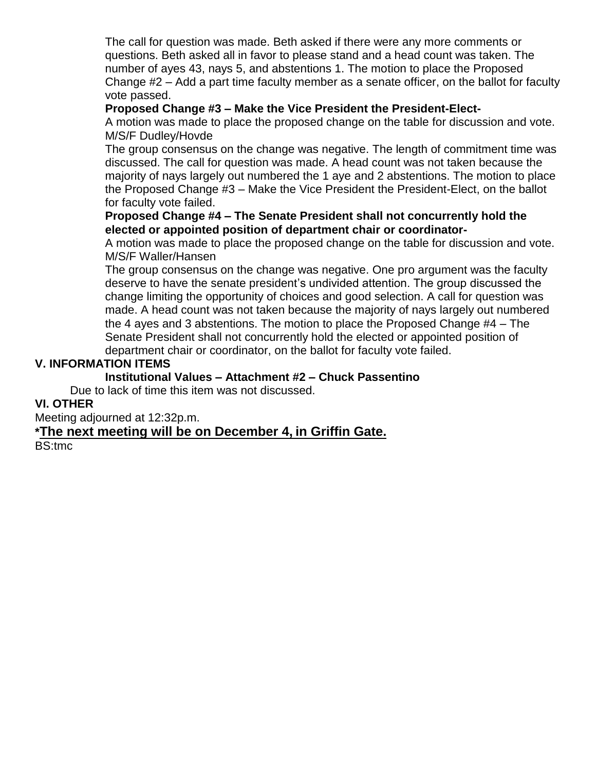The call for question was made. Beth asked if there were any more comments or questions. Beth asked all in favor to please stand and a head count was taken. The number of ayes 43, nays 5, and abstentions 1. The motion to place the Proposed Change #2 – Add a part time faculty member as a senate officer, on the ballot for faculty vote passed.

#### **Proposed Change #3 – Make the Vice President the President-Elect-**

A motion was made to place the proposed change on the table for discussion and vote. M/S/F Dudley/Hovde

The group consensus on the change was negative. The length of commitment time was discussed. The call for question was made. A head count was not taken because the majority of nays largely out numbered the 1 aye and 2 abstentions. The motion to place the Proposed Change #3 – Make the Vice President the President-Elect, on the ballot for faculty vote failed.

#### **Proposed Change #4 – The Senate President shall not concurrently hold the elected or appointed position of department chair or coordinator-**

A motion was made to place the proposed change on the table for discussion and vote. M/S/F Waller/Hansen

The group consensus on the change was negative. One pro argument was the faculty deserve to have the senate president's undivided attention. The group discussed the change limiting the opportunity of choices and good selection. A call for question was made. A head count was not taken because the majority of nays largely out numbered the 4 ayes and 3 abstentions. The motion to place the Proposed Change #4 – The Senate President shall not concurrently hold the elected or appointed position of department chair or coordinator, on the ballot for faculty vote failed.

#### **V. INFORMATION ITEMS**

#### **Institutional Values – Attachment #2 – Chuck Passentino**

Due to lack of time this item was not discussed.

# **VI. OTHER**

Meeting adjourned at 12:32p.m.

# **\*The next meeting will be on December 4, in Griffin Gate.**

BS:tmc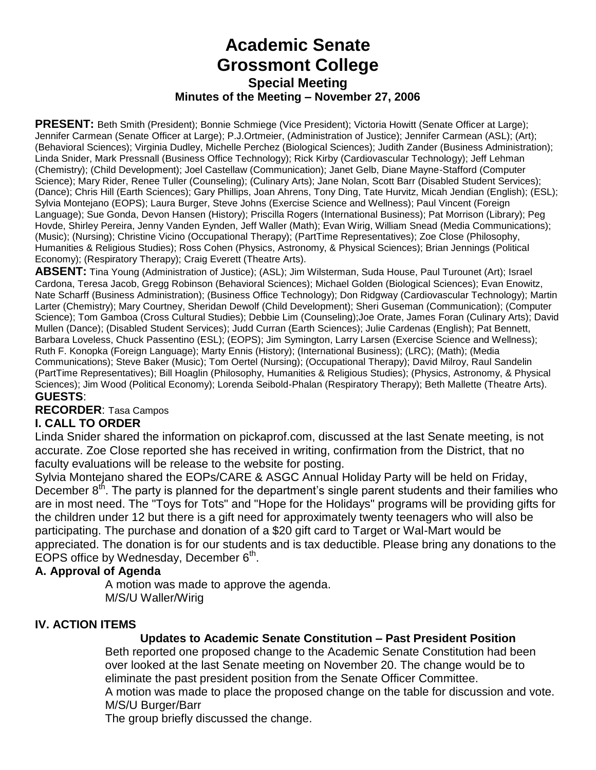# **Academic Senate Grossmont College Special Meeting Minutes of the Meeting – November 27, 2006**

**PRESENT:** Beth Smith (President); Bonnie Schmiege (Vice President); Victoria Howitt (Senate Officer at Large); Jennifer Carmean (Senate Officer at Large); P.J.Ortmeier, (Administration of Justice); Jennifer Carmean (ASL); (Art); (Behavioral Sciences); Virginia Dudley, Michelle Perchez (Biological Sciences); Judith Zander (Business Administration); Linda Snider, Mark Pressnall (Business Office Technology); Rick Kirby (Cardiovascular Technology); Jeff Lehman (Chemistry); (Child Development); Joel Castellaw (Communication); Janet Gelb, Diane Mayne-Stafford (Computer Science); Mary Rider, Renee Tuller (Counseling); (Culinary Arts); Jane Nolan, Scott Barr (Disabled Student Services); (Dance); Chris Hill (Earth Sciences); Gary Phillips, Joan Ahrens, Tony Ding, Tate Hurvitz, Micah Jendian (English); (ESL); Sylvia Montejano (EOPS); Laura Burger, Steve Johns (Exercise Science and Wellness); Paul Vincent (Foreign Language); Sue Gonda, Devon Hansen (History); Priscilla Rogers (International Business); Pat Morrison (Library); Peg Hovde, Shirley Pereira, Jenny Vanden Eynden, Jeff Waller (Math); Evan Wirig, William Snead (Media Communications); (Music); (Nursing); Christine Vicino (Occupational Therapy); (PartTime Representatives); Zoe Close (Philosophy, Humanities & Religious Studies); Ross Cohen (Physics, Astronomy, & Physical Sciences); Brian Jennings (Political Economy); (Respiratory Therapy); Craig Everett (Theatre Arts).

**ABSENT:** Tina Young (Administration of Justice); (ASL); Jim Wilsterman, Suda House, Paul Turounet (Art); Israel Cardona, Teresa Jacob, Gregg Robinson (Behavioral Sciences); Michael Golden (Biological Sciences); Evan Enowitz, Nate Scharff (Business Administration); (Business Office Technology); Don Ridgway (Cardiovascular Technology); Martin Larter (Chemistry); Mary Courtney, Sheridan Dewolf (Child Development); Sheri Guseman (Communication); (Computer Science); Tom Gamboa (Cross Cultural Studies); Debbie Lim (Counseling);Joe Orate, James Foran (Culinary Arts); David Mullen (Dance); (Disabled Student Services); Judd Curran (Earth Sciences); Julie Cardenas (English); Pat Bennett, Barbara Loveless, Chuck Passentino (ESL); (EOPS); Jim Symington, Larry Larsen (Exercise Science and Wellness); Ruth F. Konopka (Foreign Language); Marty Ennis (History); (International Business); (LRC); (Math); (Media Communications); Steve Baker (Music); Tom Oertel (Nursing); (Occupational Therapy); David Milroy, Raul Sandelin (PartTime Representatives); Bill Hoaglin (Philosophy, Humanities & Religious Studies); (Physics, Astronomy, & Physical Sciences); Jim Wood (Political Economy); Lorenda Seibold-Phalan (Respiratory Therapy); Beth Mallette (Theatre Arts). **GUESTS**:

**RECORDER**: Tasa Campos

# **I. CALL TO ORDER**

Linda Snider shared the information on pickaprof.com, discussed at the last Senate meeting, is not accurate. Zoe Close reported she has received in writing, confirmation from the District, that no faculty evaluations will be release to the website for posting.

Sylvia Montejano shared the EOPs/CARE & ASGC Annual Holiday Party will be held on Friday, December  $8<sup>th</sup>$ . The party is planned for the department's single parent students and their families who are in most need. The "Toys for Tots" and "Hope for the Holidays" programs will be providing gifts for the children under 12 but there is a gift need for approximately twenty teenagers who will also be participating. The purchase and donation of a \$20 gift card to Target or Wal-Mart would be appreciated. The donation is for our students and is tax deductible. Please bring any donations to the EOPS office by Wednesday, December  $6<sup>th</sup>$ .

# **A. Approval of Agenda**

A motion was made to approve the agenda. M/S/U Waller/Wirig

# **IV. ACTION ITEMS**

#### **Updates to Academic Senate Constitution – Past President Position**

Beth reported one proposed change to the Academic Senate Constitution had been over looked at the last Senate meeting on November 20. The change would be to eliminate the past president position from the Senate Officer Committee. A motion was made to place the proposed change on the table for discussion and vote.

M/S/U Burger/Barr The group briefly discussed the change.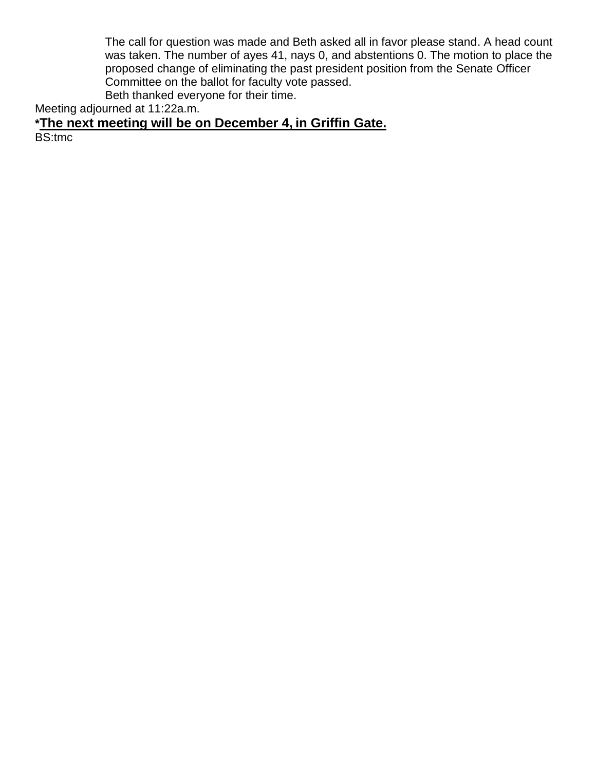The call for question was made and Beth asked all in favor please stand. A head count was taken. The number of ayes 41, nays 0, and abstentions 0. The motion to place the proposed change of eliminating the past president position from the Senate Officer Committee on the ballot for faculty vote passed.

Beth thanked everyone for their time.

Meeting adjourned at 11:22a.m.

**\*The next meeting will be on December 4, in Griffin Gate.**

BS:tmc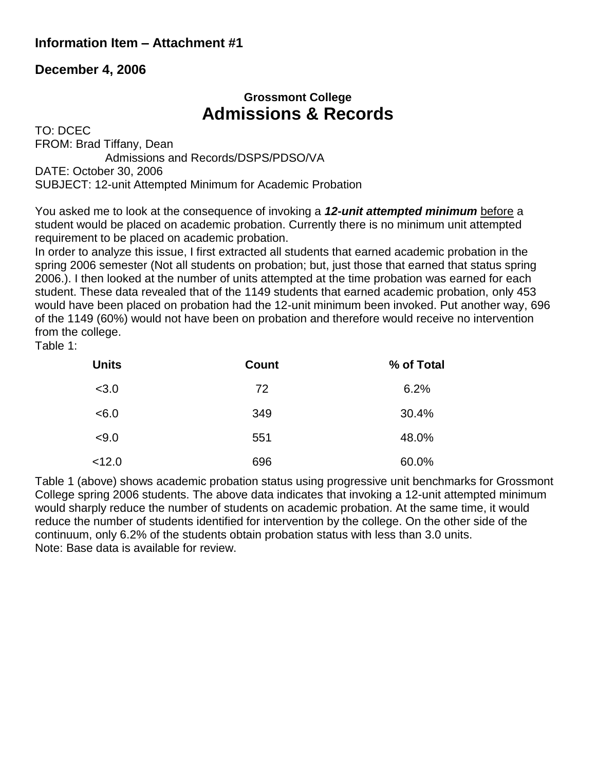# **Information Item – Attachment #1**

# **December 4, 2006**

# **Grossmont College Admissions & Records**

TO: DCEC FROM: Brad Tiffany, Dean Admissions and Records/DSPS/PDSO/VA DATE: October 30, 2006 SUBJECT: 12-unit Attempted Minimum for Academic Probation

You asked me to look at the consequence of invoking a *12-unit attempted minimum* before a student would be placed on academic probation. Currently there is no minimum unit attempted requirement to be placed on academic probation.

In order to analyze this issue, I first extracted all students that earned academic probation in the spring 2006 semester (Not all students on probation; but, just those that earned that status spring 2006.). I then looked at the number of units attempted at the time probation was earned for each student. These data revealed that of the 1149 students that earned academic probation, only 453 would have been placed on probation had the 12-unit minimum been invoked. Put another way, 696 of the 1149 (60%) would not have been on probation and therefore would receive no intervention from the college.

Table 1:

| <b>Units</b> | <b>Count</b> | % of Total |
|--------------|--------------|------------|
| < 3.0        | 72           | 6.2%       |
| < 6.0        | 349          | 30.4%      |
| < 9.0        | 551          | 48.0%      |
| < 12.0       | 696          | 60.0%      |

Table 1 (above) shows academic probation status using progressive unit benchmarks for Grossmont College spring 2006 students. The above data indicates that invoking a 12-unit attempted minimum would sharply reduce the number of students on academic probation. At the same time, it would reduce the number of students identified for intervention by the college. On the other side of the continuum, only 6.2% of the students obtain probation status with less than 3.0 units. Note: Base data is available for review.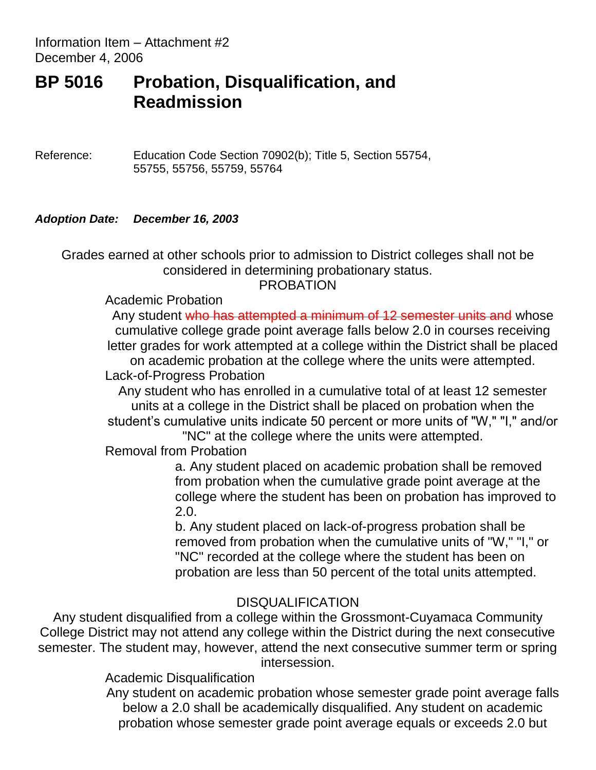Information Item – Attachment #2 December 4, 2006

# **BP 5016 Probation, Disqualification, and Readmission**

Reference: Education Code Section 70902(b); Title 5, Section 55754, 55755, 55756, 55759, 55764

# *Adoption Date: December 16, 2003*

Grades earned at other schools prior to admission to District colleges shall not be considered in determining probationary status.

PROBATION

Academic Probation

Any student who has attempted a minimum of 12 semester units and whose cumulative college grade point average falls below 2.0 in courses receiving letter grades for work attempted at a college within the District shall be placed on academic probation at the college where the units were attempted. Lack-of-Progress Probation

Any student who has enrolled in a cumulative total of at least 12 semester units at a college in the District shall be placed on probation when the student's cumulative units indicate 50 percent or more units of "W," "I," and/or

"NC" at the college where the units were attempted.

Removal from Probation

a. Any student placed on academic probation shall be removed from probation when the cumulative grade point average at the college where the student has been on probation has improved to 2.0.

b. Any student placed on lack-of-progress probation shall be removed from probation when the cumulative units of "W," "I," or "NC" recorded at the college where the student has been on probation are less than 50 percent of the total units attempted.

# DISQUALIFICATION

Any student disqualified from a college within the Grossmont-Cuyamaca Community College District may not attend any college within the District during the next consecutive semester. The student may, however, attend the next consecutive summer term or spring intersession.

Academic Disqualification

Any student on academic probation whose semester grade point average falls below a 2.0 shall be academically disqualified. Any student on academic probation whose semester grade point average equals or exceeds 2.0 but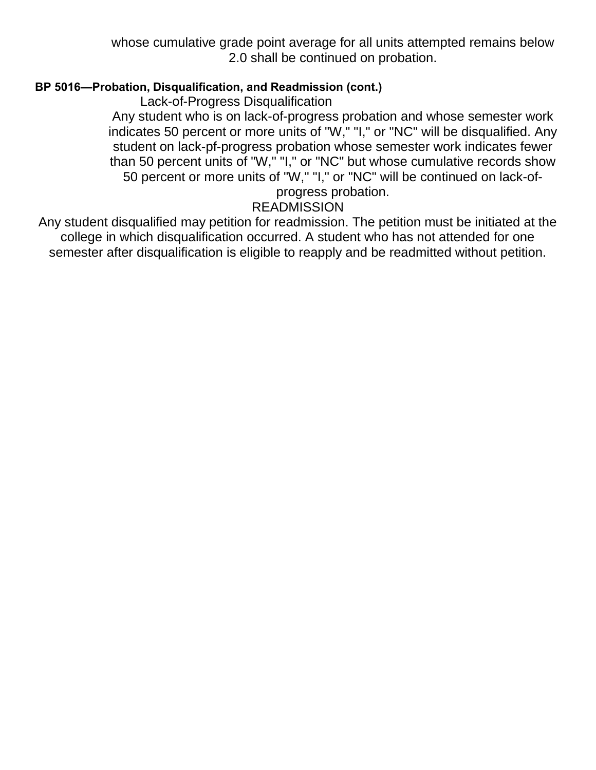whose cumulative grade point average for all units attempted remains below 2.0 shall be continued on probation.

# **BP 5016—Probation, Disqualification, and Readmission (cont.)**

Lack-of-Progress Disqualification

Any student who is on lack-of-progress probation and whose semester work indicates 50 percent or more units of "W," "I," or "NC" will be disqualified. Any student on lack-pf-progress probation whose semester work indicates fewer than 50 percent units of "W," "I," or "NC" but whose cumulative records show 50 percent or more units of "W," "I," or "NC" will be continued on lack-of-

#### progress probation. **READMISSION**

Any student disqualified may petition for readmission. The petition must be initiated at the college in which disqualification occurred. A student who has not attended for one semester after disqualification is eligible to reapply and be readmitted without petition.